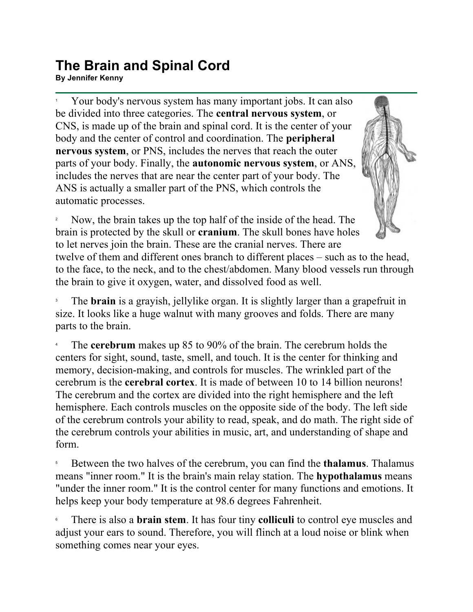## **The Brain and Spinal Cord By Jennifer Kenny**<br>By Jennifer Kenny

1 Your body's nervous system has many important jobs. It can also be divided into three categories. The **central nervous system**, or CNS, is made up of the brain and spinal cord. It is the center of your body and the center of control and coordination. The **peripheral nervous system**, or PNS, includes the nerves that reach the outer parts of your body. Finally, the **autonomic nervous system**, or ANS, includes the nerves that are near the center part of your body. The ANS is actually a smaller part of the PNS, which controls the automatic processes.

2 Now, the brain takes up the top half of the inside of the head. The brain is protected by the skull or **cranium**. The skull bones have holes to let nerves join the brain. These are the cranial nerves. There are twelve of them and different ones branch to different places – such as to the head, to the face, to the neck, and to the chest/abdomen. Many blood vessels run through the brain to give it oxygen, water, and dissolved food as well.

3 The **brain** is a grayish, jellylike organ. It is slightly larger than a grapefruit in size. It looks like a huge walnut with many grooves and folds. There are many parts to the brain.

4 The **cerebrum** makes up 85 to 90% of the brain. The cerebrum holds the centers for sight, sound, taste, smell, and touch. It is the center for thinking and memory, decision-making, and controls for muscles. The wrinkled part of the cerebrum is the **cerebral cortex**. It is made of between 10 to 14 billion neurons! The cerebrum and the cortex are divided into the right hemisphere and the left hemisphere. Each controls muscles on the opposite side of the body. The left side of the cerebrum controls your ability to read, speak, and do math. The right side of the cerebrum controls your abilities in music, art, and understanding of shape and form.

5 Between the two halves of the cerebrum, you can find the **thalamus**. Thalamus means "inner room." It is the brain's main relay station. The **hypothalamus** means "under the inner room." It is the control center for many functions and emotions. It helps keep your body temperature at 98.6 degrees Fahrenheit.

6 There is also a **brain stem**. It has four tiny **colliculi** to control eye muscles and adjust your ears to sound. Therefore, you will flinch at a loud noise or blink when something comes near your eyes.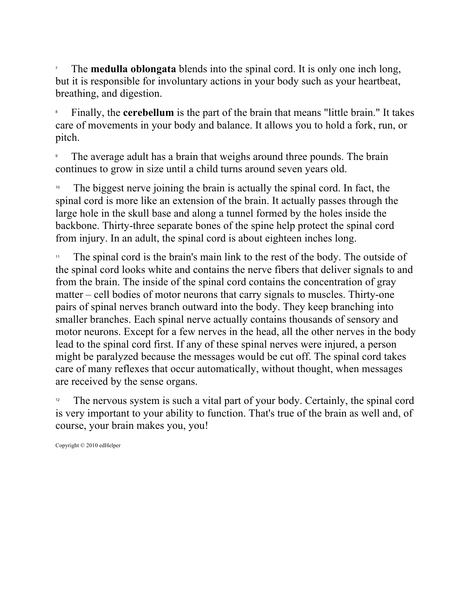7 The **medulla oblongata** blends into the spinal cord. It is only one inch long, but it is responsible for involuntary actions in your body such as your heartbeat, breathing, and digestion.

8 Finally, the **cerebellum** is the part of the brain that means "little brain." It takes care of movements in your body and balance. It allows you to hold a fork, run, or pitch.

9 The average adult has a brain that weighs around three pounds. The brain continues to grow in size until a child turns around seven years old.

The biggest nerve joining the brain is actually the spinal cord. In fact, the spinal cord is more like an extension of the brain. It actually passes through the large hole in the skull base and along a tunnel formed by the holes inside the backbone. Thirty-three separate bones of the spine help protect the spinal cord from injury. In an adult, the spinal cord is about eighteen inches long.

The spinal cord is the brain's main link to the rest of the body. The outside of the spinal cord looks white and contains the nerve fibers that deliver signals to and from the brain. The inside of the spinal cord contains the concentration of gray matter – cell bodies of motor neurons that carry signals to muscles. Thirty-one pairs of spinal nerves branch outward into the body. They keep branching into smaller branches. Each spinal nerve actually contains thousands of sensory and motor neurons. Except for a few nerves in the head, all the other nerves in the body lead to the spinal cord first. If any of these spinal nerves were injured, a person might be paralyzed because the messages would be cut off. The spinal cord takes care of many reflexes that occur automatically, without thought, when messages are received by the sense organs.

The nervous system is such a vital part of your body. Certainly, the spinal cord is very important to your ability to function. That's true of the brain as well and, of course, your brain makes you, you!

Copyright © 2010 edHelper